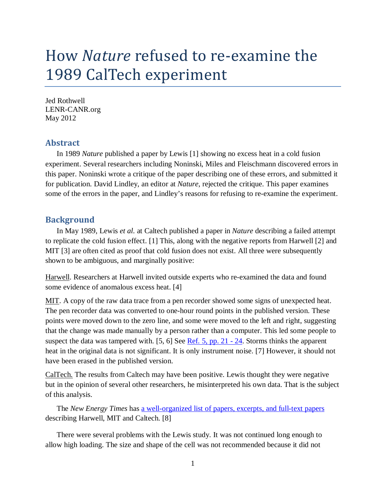# How *Nature* refused to re-examine the 1989 CalTech experiment

Jed Rothwell LENR-CANR.org May 2012

## **Abstract**

In 1989 *Nature* published a paper by Lewis [1] showing no excess heat in a cold fusion experiment. Several researchers including Noninski, Miles and Fleischmann discovered errors in this paper. Noninski wrote a critique of the paper describing one of these errors, and submitted it for publication. David Lindley, an editor at *Nature*, rejected the critique. This paper examines some of the errors in the paper, and Lindley's reasons for refusing to re-examine the experiment.

## **Background**

In May 1989, Lewis *et al.* at Caltech published a paper in *Nature* describing a failed attempt to replicate the cold fusion effect. [1] This, along with the negative reports from Harwell [2] and MIT [3] are often cited as proof that cold fusion does not exist. All three were subsequently shown to be ambiguous, and marginally positive:

Harwell. Researchers at Harwell invited outside experts who re-examined the data and found some evidence of anomalous excess heat. [4]

MIT. A copy of the raw data trace from a pen recorder showed some signs of unexpected heat. The pen recorder data was converted to one-hour round points in the published version. These points were moved down to the zero line, and some were moved to the left and right, suggesting that the change was made manually by a person rather than a computer. This led some people to suspect the data was tampered with. [5, 6] See [Ref. 5, pp. 21 - 24](http://lenr-canr.org/acrobat/MilesMisoperibol.pdf). Storms thinks the apparent heat in the original data is not significant. It is only instrument noise. [7] However, it should not have been erased in the published version.

CalTech. The results from Caltech may have been positive. Lewis thought they were negative but in the opinion of several other researchers, he misinterpreted his own data. That is the subject of this analysis.

The *New Energy Times* has [a well-organized list of papers, excerpts, and full-text papers](http://www.newenergytimes.com/v2/reports/HistoricalAnalysisSummaryCharts.shtml) describing Harwell, MIT and Caltech. [8]

There were several problems with the Lewis study. It was not continued long enough to allow high loading. The size and shape of the cell was not recommended because it did not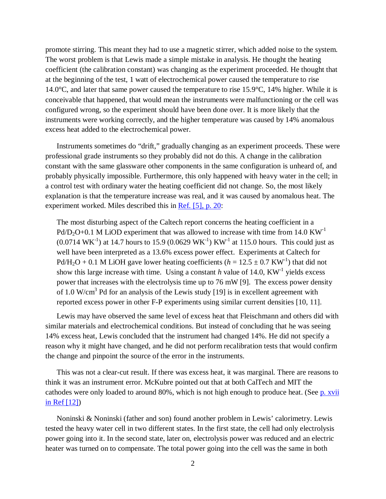promote stirring. This meant they had to use a magnetic stirrer, which added noise to the system. The worst problem is that Lewis made a simple mistake in analysis. He thought the heating coefficient (the calibration constant) was changing as the experiment proceeded. He thought that at the beginning of the test, 1 watt of electrochemical power caused the temperature to rise 14.0°C, and later that same power caused the temperature to rise 15.9°C, 14% higher. While it is conceivable that happened, that would mean the instruments were malfunctioning or the cell was configured wrong, so the experiment should have been done over. It is more likely that the instruments were working correctly, and the higher temperature was caused by 14% anomalous excess heat added to the electrochemical power.

Instruments sometimes do "drift," gradually changing as an experiment proceeds. These were professional grade instruments so they probably did not do this. A change in the calibration constant with the same glassware other components in the same configuration is unheard of, and probably physically impossible. Furthermore, this only happened with heavy water in the cell; in a control test with ordinary water the heating coefficient did not change. So, the most likely explanation is that the temperature increase was real, and it was caused by anomalous heat. The experiment worked. Miles described this in [Ref. \[5\], p. 20:](http://lenr-canr.org/acrobat/MilesMisoperibol.pdf)

The most disturbing aspect of the Caltech report concerns the heating coefficient in a  $Pd/D<sub>2</sub>O+0.1$  M LiOD experiment that was allowed to increase with time from 14.0 KW<sup>-1</sup>  $(0.0714 \text{ WK}^{-1})$  at 14.7 hours to 15.9  $(0.0629 \text{ WK}^{-1}) \text{ KW}^{-1}$  at 115.0 hours. This could just as well have been interpreted as a 13.6% excess power effect. Experiments at Caltech for Pd/H<sub>2</sub>O + 0.1 M LiOH gave lower heating coefficients ( $h = 12.5 \pm 0.7$  KW<sup>-1</sup>) that did not show this large increase with time. Using a constant  $h$  value of 14.0,  $KW^{-1}$  yields excess power that increases with the electrolysis time up to 76 mW [9]. The excess power density of 1.0 W/cm<sup>3</sup> Pd for an analysis of the Lewis study [19] is in excellent agreement with reported excess power in other F-P experiments using similar current densities [10, 11].

Lewis may have observed the same level of excess heat that Fleischmann and others did with similar materials and electrochemical conditions. But instead of concluding that he was seeing 14% excess heat, Lewis concluded that the instrument had changed 14%. He did not specify a reason why it might have changed, and he did not perform recalibration tests that would confirm the change and pinpoint the source of the error in the instruments.

This was not a clear-cut result. If there was excess heat, it was marginal. There are reasons to think it was an instrument error. McKubre pointed out that at both CalTech and MIT the cathodes were only loaded to around 80%, which is not high enough to produce heat. (See [p. xvii](http://lenr-canr.org/acrobat/McKubreMCHcoldfusionb.pdf)) [in Ref \[12\]](http://lenr-canr.org/acrobat/McKubreMCHcoldfusionb.pdf))

Noninski & Noninski (father and son) found another problem in Lewis' calorimetry. Lewis tested the heavy water cell in two different states. In the first state, the cell had only electrolysis power going into it. In the second state, later on, electrolysis power was reduced and an electric heater was turned on to compensate. The total power going into the cell was the same in both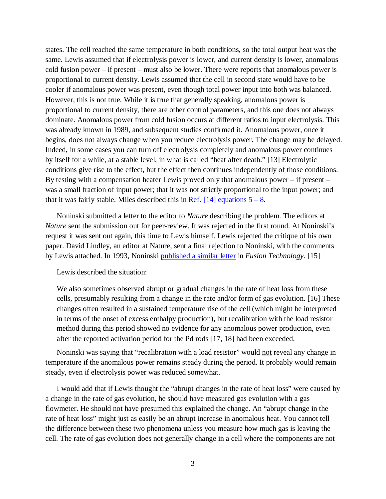states. The cell reached the same temperature in both conditions, so the total output heat was the same. Lewis assumed that if electrolysis power is lower, and current density is lower, anomalous cold fusion power – if present – must also be lower. There were reports that anomalous power is proportional to current density. Lewis assumed that the cell in second state would have to be cooler if anomalous power was present, even though total power input into both was balanced. However, this is not true. While it is true that generally speaking, anomalous power is proportional to current density, there are other control parameters, and this one does not always dominate. Anomalous power from cold fusion occurs at different ratios to input electrolysis. This was already known in 1989, and subsequent studies confirmed it. Anomalous power, once it begins, does not always change when you reduce electrolysis power. The change may be delayed. Indeed, in some cases you can turn off electrolysis completely and anomalous power continues by itself for a while, at a stable level, in what is called "heat after death." [13] Electrolytic conditions give rise to the effect, but the effect then continues independently of those conditions. By testing with a compensation heater Lewis proved only that anomalous power – if present – was a small fraction of input power; that it was not strictly proportional to the input power; and that it was fairly stable. Miles described this in <u>Ref. [14] equations  $5 - 8$ </u>.

Noninski submitted a letter to the editor to *Nature* describing the problem. The editors at *Nature* sent the submission out for peer-review. It was rejected in the first round. At Noninski's request it was sent out again, this time to Lewis himself. Lewis rejected the critique of his own paper. David Lindley, an editor at Nature, sent a final rejection to Noninski, with the comments by Lewis attached. In 1993, Noninski [published a similar letter](http://www.lenr-canr.org/acrobat/NoninskiVCnotesontwo.pdf) in *Fusion Technology*. [15]

Lewis described the situation:

We also sometimes observed abrupt or gradual changes in the rate of heat loss from these cells, presumably resulting from a change in the rate and/or form of gas evolution. [16] These changes often resulted in a sustained temperature rise of the cell (which might be interpreted in terms of the onset of excess enthalpy production), but recalibration with the load resistor method during this period showed no evidence for any anomalous power production, even after the reported activation period for the Pd rods [17, 18] had been exceeded.

Noninski was saying that "recalibration with a load resistor" would not reveal any change in temperature if the anomalous power remains steady during the period. It probably would remain steady, even if electrolysis power was reduced somewhat.

I would add that if Lewis thought the "abrupt changes in the rate of heat loss" were caused by a change in the rate of gas evolution, he should have measured gas evolution with a gas flowmeter. He should not have presumed this explained the change. An "abrupt change in the rate of heat loss" might just as easily be an abrupt increase in anomalous heat. You cannot tell the difference between these two phenomena unless you measure how much gas is leaving the cell. The rate of gas evolution does not generally change in a cell where the components are not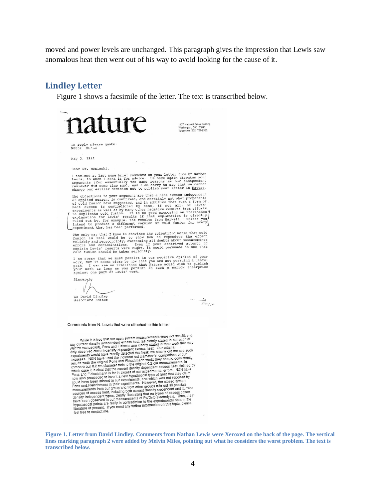moved and power levels are unchanged. This paragraph gives the impression that Lewis saw anomalous heat then went out of his way to avoid looking for the cause of it.

#### **Lindley Letter**

Figure 1 shows a facsimile of the letter. The text is transcribed below.



**Figure 1. Letter from David Lindley. Comments from Nathan Lewis were Xeroxed on the back of the page. The vertical lines marking paragraph 2 were added by Melvin Miles, pointing out what he considers the worst problem. The text is transcribed below.**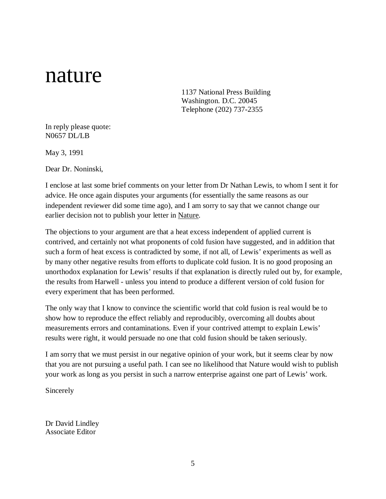# nature

1137 National Press Building Washington. D.C. 20045 Telephone (202) 737-2355

In reply please quote: N0657 DL/LB

May 3, 1991

Dear Dr. Noninski,

I enclose at last some brief comments on your letter from Dr Nathan Lewis, to whom I sent it for advice. He once again disputes your arguments (for essentially the same reasons as our independent reviewer did some time ago), and I am sorry to say that we cannot change our earlier decision not to publish your letter in Nature.

The objections to your argument are that a heat excess independent of applied current is contrived, and certainly not what proponents of cold fusion have suggested, and in addition that such a form of heat excess is contradicted by some, if not all, of Lewis' experiments as well as by many other negative results from efforts to duplicate cold fusion. It is no good proposing an unorthodox explanation for Lewis' results if that explanation is directly ruled out by, for example, the results from Harwell - unless you intend to produce a different version of cold fusion for every experiment that has been performed.

The only way that I know to convince the scientific world that cold fusion is real would be to show how to reproduce the effect reliably and reproducibly, overcoming all doubts about measurements errors and contaminations. Even if your contrived attempt to explain Lewis' results were right, it would persuade no one that cold fusion should be taken seriously.

I am sorry that we must persist in our negative opinion of your work, but it seems clear by now that you are not pursuing a useful path. I can see no likelihood that Nature would wish to publish your work as long as you persist in such a narrow enterprise against one part of Lewis' work.

Sincerely

Dr David Lindley Associate Editor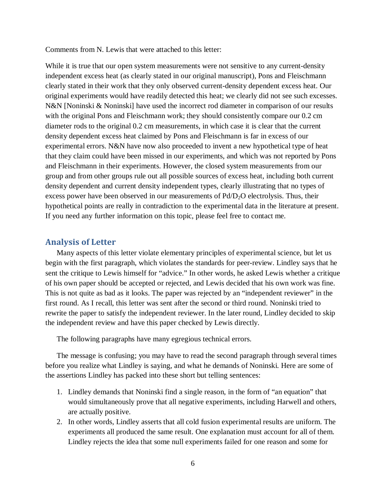Comments from N. Lewis that were attached to this letter:

While it is true that our open system measurements were not sensitive to any current-density independent excess heat (as clearly stated in our original manuscript), Pons and Fleischmann clearly stated in their work that they only observed current-density dependent excess heat. Our original experiments would have readily detected this heat; we clearly did not see such excesses. N&N [Noninski & Noninski] have used the incorrect rod diameter in comparison of our results with the original Pons and Fleischmann work; they should consistently compare our 0.2 cm diameter rods to the original 0.2 cm measurements, in which case it is clear that the current density dependent excess heat claimed by Pons and Fleischmann is far in excess of our experimental errors. N&N have now also proceeded to invent a new hypothetical type of heat that they claim could have been missed in our experiments, and which was not reported by Pons and Fleischmann in their experiments. However, the closed system measurements from our group and from other groups rule out all possible sources of excess heat, including both current density dependent and current density independent types, clearly illustrating that no types of excess power have been observed in our measurements of Pd/D<sub>2</sub>O electrolysis. Thus, their hypothetical points are really in contradiction to the experimental data in the literature at present. If you need any further information on this topic, please feel free to contact me.

### **Analysis of Letter**

Many aspects of this letter violate elementary principles of experimental science, but let us begin with the first paragraph, which violates the standards for peer-review. Lindley says that he sent the critique to Lewis himself for "advice." In other words, he asked Lewis whether a critique of his own paper should be accepted or rejected, and Lewis decided that his own work was fine. This is not quite as bad as it looks. The paper was rejected by an "independent reviewer" in the first round. As I recall, this letter was sent after the second or third round. Noninski tried to rewrite the paper to satisfy the independent reviewer. In the later round, Lindley decided to skip the independent review and have this paper checked by Lewis directly.

The following paragraphs have many egregious technical errors.

The message is confusing; you may have to read the second paragraph through several times before you realize what Lindley is saying, and what he demands of Noninski. Here are some of the assertions Lindley has packed into these short but telling sentences:

- 1. Lindley demands that Noninski find a single reason, in the form of "an equation" that would simultaneously prove that all negative experiments, including Harwell and others, are actually positive.
- 2. In other words, Lindley asserts that all cold fusion experimental results are uniform. The experiments all produced the same result. One explanation must account for all of them. Lindley rejects the idea that some null experiments failed for one reason and some for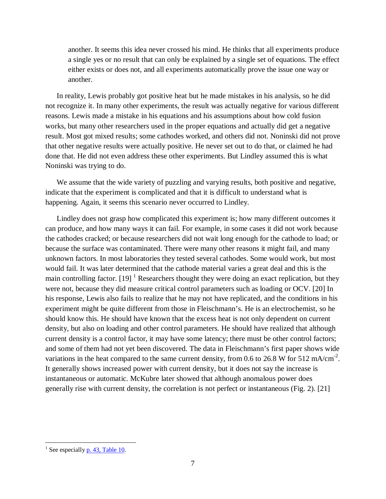another. It seems this idea never crossed his mind. He thinks that all experiments produce a single yes or no result that can only be explained by a single set of equations. The effect either exists or does not, and all experiments automatically prove the issue one way or another.

In reality, Lewis probably got positive heat but he made mistakes in his analysis, so he did not recognize it. In many other experiments, the result was actually negative for various different reasons. Lewis made a mistake in his equations and his assumptions about how cold fusion works, but many other researchers used in the proper equations and actually did get a negative result. Most got mixed results; some cathodes worked, and others did not. Noninski did not prove that other negative results were actually positive. He never set out to do that, or claimed he had done that. He did not even address these other experiments. But Lindley assumed this is what Noninski was trying to do.

We assume that the wide variety of puzzling and varying results, both positive and negative, indicate that the experiment is complicated and that it is difficult to understand what is happening. Again, it seems this scenario never occurred to Lindley.

Lindley does not grasp how complicated this experiment is; how many different outcomes it can produce, and how many ways it can fail. For example, in some cases it did not work because the cathodes cracked; or because researchers did not wait long enough for the cathode to load; or because the surface was contaminated. There were many other reasons it might fail, and many unknown factors. In most laboratories they tested several cathodes. Some would work, but most would fail. It was later determined that the cathode material varies a great deal and this is the main controlling factor.  $[19]$  $[19]$  $[19]$ <sup>1</sup> Researchers thought they were doing an exact replication, but they were not, because they did measure critical control parameters such as loading or OCV. [20] In his response, Lewis also fails to realize that he may not have replicated, and the conditions in his experiment might be quite different from those in Fleischmann's. He is an electrochemist, so he should know this. He should have known that the excess heat is not only dependent on current density, but also on loading and other control parameters. He should have realized that although current density is a control factor, it may have some latency; there must be other control factors; and some of them had not yet been discovered. The data in Fleischmann's first paper shows wide variations in the heat compared to the same current density, from 0.6 to 26.8 W for 512 mA/cm<sup>-2</sup>. It generally shows increased power with current density, but it does not say the increase is instantaneous or automatic. McKubre later showed that although anomalous power does generally rise with current density, the correlation is not perfect or instantaneous (Fig. 2). [21]

<span id="page-6-0"></span><sup>&</sup>lt;sup>1</sup> See especially  $p. 43$ , Table 10.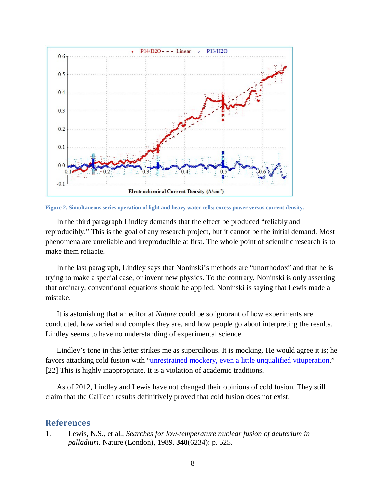

**Figure 2. Simultaneous series operation of light and heavy water cells; excess power versus current density.**

In the third paragraph Lindley demands that the effect be produced "reliably and reproducibly." This is the goal of any research project, but it cannot be the initial demand. Most phenomena are unreliable and irreproducible at first. The whole point of scientific research is to make them reliable.

In the last paragraph, Lindley says that Noninski's methods are "unorthodox" and that he is trying to make a special case, or invent new physics. To the contrary, Noninski is only asserting that ordinary, conventional equations should be applied. Noninski is saying that Lewis made a mistake.

It is astonishing that an editor at *Nature* could be so ignorant of how experiments are conducted, how varied and complex they are, and how people go about interpreting the results. Lindley seems to have no understanding of experimental science.

Lindley's tone in this letter strikes me as supercilious. It is mocking. He would agree it is; he favors attacking cold fusionwith ["unrestrained mockery, even a little unqualified vituperation.](http://www.lenr-canr.org/acrobat/LindleyDtheembarra.pdf)" [22] This is highly inappropriate. It is a violation of academic traditions.

As of 2012, Lindley and Lewis have not changed their opinions of cold fusion. They still claim that the CalTech results definitively proved that cold fusion does not exist.

## **References**

1. Lewis, N.S., et al., *Searches for low-temperature nuclear fusion of deuterium in palladium.* Nature (London), 1989. **340**(6234): p. 525.